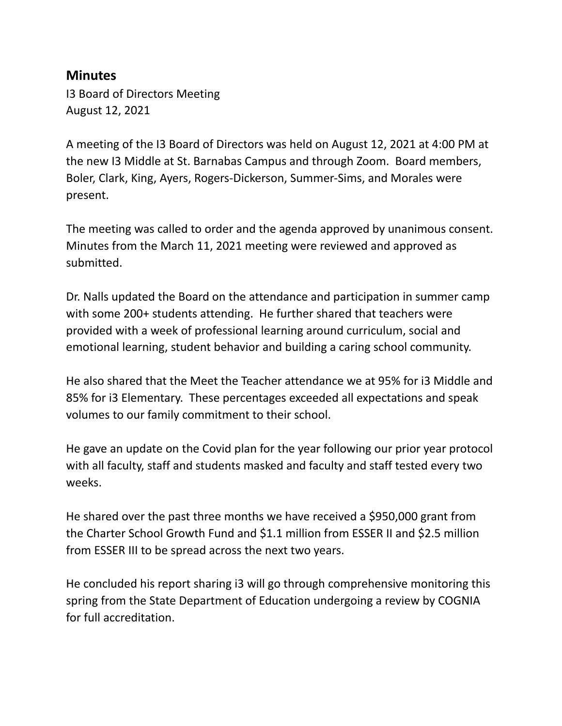## **Minutes**

I3 Board of Directors Meeting August 12, 2021

A meeting of the I3 Board of Directors was held on August 12, 2021 at 4:00 PM at the new I3 Middle at St. Barnabas Campus and through Zoom. Board members, Boler, Clark, King, Ayers, Rogers-Dickerson, Summer-Sims, and Morales were present.

The meeting was called to order and the agenda approved by unanimous consent. Minutes from the March 11, 2021 meeting were reviewed and approved as submitted.

Dr. Nalls updated the Board on the attendance and participation in summer camp with some 200+ students attending. He further shared that teachers were provided with a week of professional learning around curriculum, social and emotional learning, student behavior and building a caring school community.

He also shared that the Meet the Teacher attendance we at 95% for i3 Middle and 85% for i3 Elementary. These percentages exceeded all expectations and speak volumes to our family commitment to their school.

He gave an update on the Covid plan for the year following our prior year protocol with all faculty, staff and students masked and faculty and staff tested every two weeks.

He shared over the past three months we have received a \$950,000 grant from the Charter School Growth Fund and \$1.1 million from ESSER II and \$2.5 million from ESSER III to be spread across the next two years.

He concluded his report sharing i3 will go through comprehensive monitoring this spring from the State Department of Education undergoing a review by COGNIA for full accreditation.